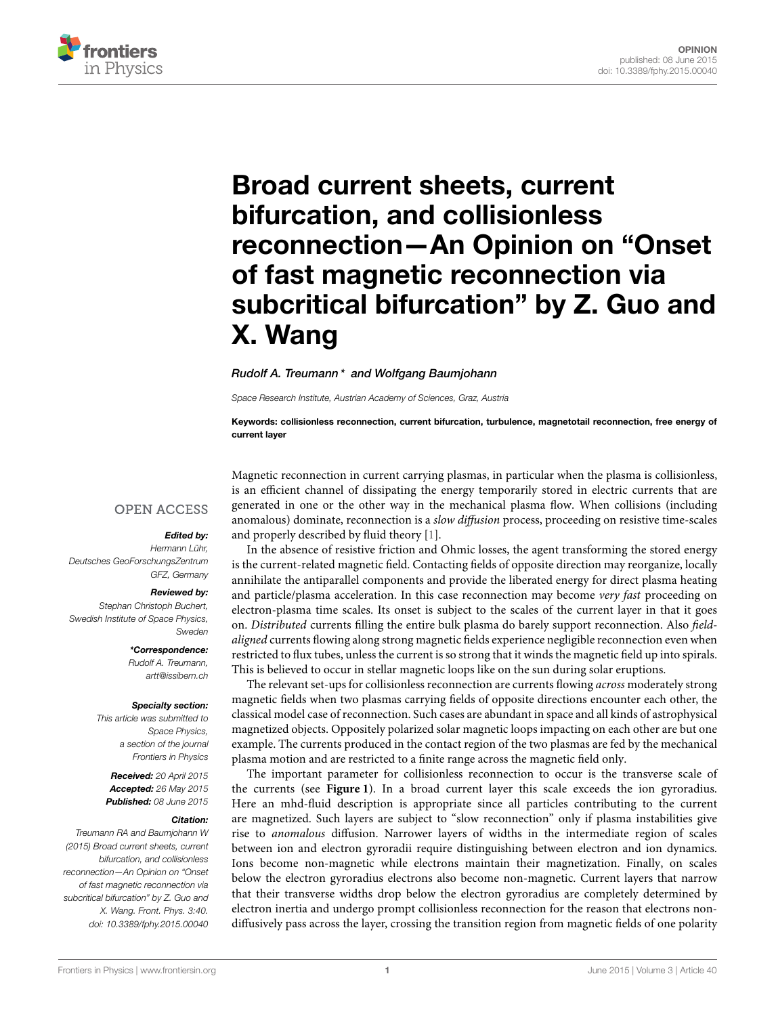

# Broad current sheets, current bifurcation, and collisionless reconnection—An Opinion on "Onset of fast magnetic reconnection via [subcritical bifurcation" by Z. Guo and](http://journal.frontiersin.org/article/10.3389/fphy.2015.00040/full) X. Wang

#### [Rudolf A. Treumann](http://community.frontiersin.org/people/u/73404)\* and [Wolfgang Baumjohann](http://community.frontiersin.org/people/u/122679)

Space Research Institute, Austrian Academy of Sciences, Graz, Austria

Keywords: collisionless reconnection, current bifurcation, turbulence, magnetotail reconnection, free energy of current layer

### **OPEN ACCESS**

#### Edited by:

Hermann Lühr, Deutsches GeoForschungsZentrum GFZ, Germany

#### Reviewed by:

Stephan Christoph Buchert, Swedish Institute of Space Physics, Sweden

> \*Correspondence: Rudolf A. Treumann, [artt@issibern.ch](mailto:artt@issibern.ch)

#### Specialty section:

This article was submitted to Space Physics, a section of the journal Frontiers in Physics

Received: 20 April 2015 Accepted: 26 May 2015 Published: 08 June 2015

#### Citation:

Treumann RA and Baumjohann W (2015) Broad current sheets, current bifurcation, and collisionless reconnection—An Opinion on "Onset of fast magnetic reconnection via subcritical bifurcation" by Z. Guo and X. Wang. Front. Phys. 3:40. doi: [10.3389/fphy.2015.00040](http://dx.doi.org/10.3389/fphy.2015.00040)

Magnetic reconnection in current carrying plasmas, in particular when the plasma is collisionless, is an efficient channel of dissipating the energy temporarily stored in electric currents that are generated in one or the other way in the mechanical plasma flow. When collisions (including anomalous) dominate, reconnection is a slow diffusion process, proceeding on resistive time-scales and properly described by fluid theory [\[1\]](#page-3-0).

In the absence of resistive friction and Ohmic losses, the agent transforming the stored energy is the current-related magnetic field. Contacting fields of opposite direction may reorganize, locally annihilate the antiparallel components and provide the liberated energy for direct plasma heating and particle/plasma acceleration. In this case reconnection may become very fast proceeding on electron-plasma time scales. Its onset is subject to the scales of the current layer in that it goes on. Distributed currents filling the entire bulk plasma do barely support reconnection. Also fieldaligned currents flowing along strong magnetic fields experience negligible reconnection even when restricted to flux tubes, unless the current is so strong that it winds the magnetic field up into spirals. This is believed to occur in stellar magnetic loops like on the sun during solar eruptions.

The relevant set-ups for collisionless reconnection are currents flowing across moderately strong magnetic fields when two plasmas carrying fields of opposite directions encounter each other, the classical model case of reconnection. Such cases are abundant in space and all kinds of astrophysical magnetized objects. Oppositely polarized solar magnetic loops impacting on each other are but one example. The currents produced in the contact region of the two plasmas are fed by the mechanical plasma motion and are restricted to a finite range across the magnetic field only.

The important parameter for collisionless reconnection to occur is the transverse scale of the currents (see **[Figure 1](#page-1-0)**). In a broad current layer this scale exceeds the ion gyroradius. Here an mhd-fluid description is appropriate since all particles contributing to the current are magnetized. Such layers are subject to "slow reconnection" only if plasma instabilities give rise to anomalous diffusion. Narrower layers of widths in the intermediate region of scales between ion and electron gyroradii require distinguishing between electron and ion dynamics. Ions become non-magnetic while electrons maintain their magnetization. Finally, on scales below the electron gyroradius electrons also become non-magnetic. Current layers that narrow that their transverse widths drop below the electron gyroradius are completely determined by electron inertia and undergo prompt collisionless reconnection for the reason that electrons nondiffusively pass across the layer, crossing the transition region from magnetic fields of one polarity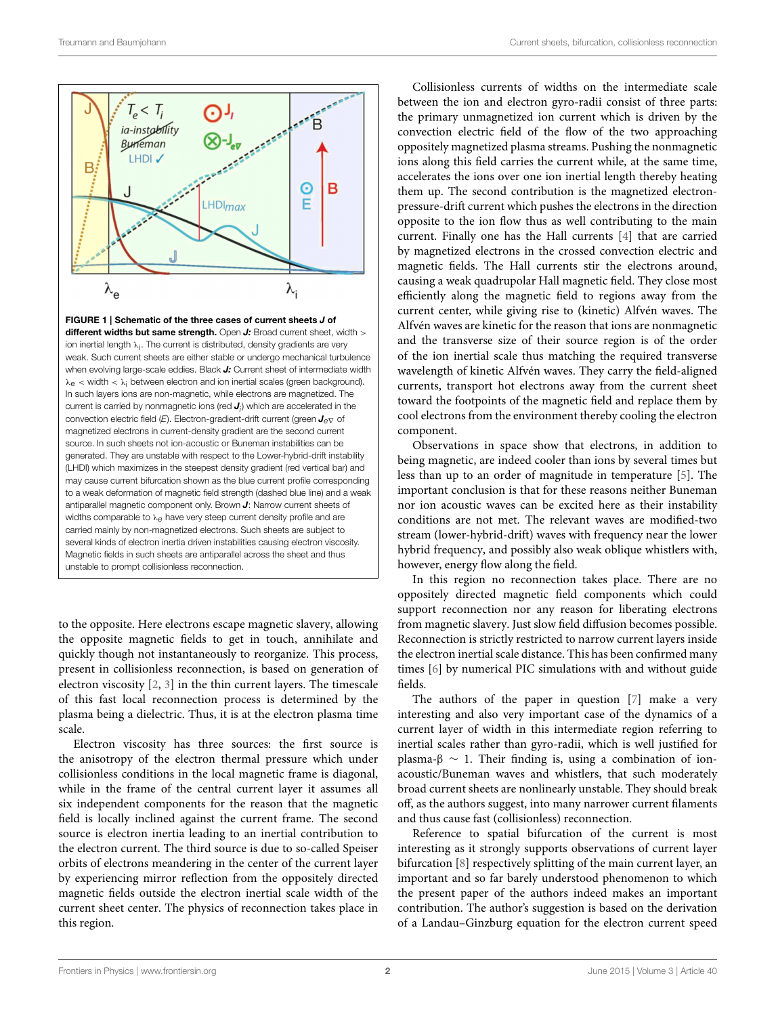

<span id="page-1-0"></span>FIGURE 1 | Schematic of the three cases of current sheets J of different widths but same strength. Open  $J$ : Broad current sheet, width  $>$ ion inertial length  $\lambda_{\mathsf{i}}.$  The current is distributed, density gradients are very weak. Such current sheets are either stable or undergo mechanical turbulence when evolving large-scale eddies. Black J: Current sheet of intermediate width  $\lambda_{\rm e}$  < width <  $\lambda_{\rm i}$  between electron and ion inertial scales (green background). In such layers ions are non-magnetic, while electrons are magnetized. The current is carried by nonmagnetic ions (red  $J_i$ ) which are accelerated in the convection electric field (E). Electron-gradient-drift current (green  $J_{e\nabla}$  of magnetized electrons in current-density gradient are the second current source. In such sheets not ion-acoustic or Buneman instabilities can be generated. They are unstable with respect to the Lower-hybrid-drift instability (LHDI) which maximizes in the steepest density gradient (red vertical bar) and may cause current bifurcation shown as the blue current profile corresponding to a weak deformation of magnetic field strength (dashed blue line) and a weak antiparallel magnetic component only. Brown J: Narrow current sheets of widths comparable to λ<sub>θ</sub> have very steep current density profile and are carried mainly by non-magnetized electrons. Such sheets are subject to several kinds of electron inertia driven instabilities causing electron viscosity. Magnetic fields in such sheets are antiparallel across the sheet and thus unstable to prompt collisionless reconnection.

to the opposite. Here electrons escape magnetic slavery, allowing the opposite magnetic fields to get in touch, annihilate and quickly though not instantaneously to reorganize. This process, present in collisionless reconnection, is based on generation of electron viscosity [\[2,](#page-3-1) [3\]](#page-3-2) in the thin current layers. The timescale of this fast local reconnection process is determined by the plasma being a dielectric. Thus, it is at the electron plasma time scale.

Electron viscosity has three sources: the first source is the anisotropy of the electron thermal pressure which under collisionless conditions in the local magnetic frame is diagonal, while in the frame of the central current layer it assumes all six independent components for the reason that the magnetic field is locally inclined against the current frame. The second source is electron inertia leading to an inertial contribution to the electron current. The third source is due to so-called Speiser orbits of electrons meandering in the center of the current layer by experiencing mirror reflection from the oppositely directed magnetic fields outside the electron inertial scale width of the current sheet center. The physics of reconnection takes place in this region.

Collisionless currents of widths on the intermediate scale between the ion and electron gyro-radii consist of three parts: the primary unmagnetized ion current which is driven by the convection electric field of the flow of the two approaching oppositely magnetized plasma streams. Pushing the nonmagnetic ions along this field carries the current while, at the same time, accelerates the ions over one ion inertial length thereby heating them up. The second contribution is the magnetized electronpressure-drift current which pushes the electrons in the direction opposite to the ion flow thus as well contributing to the main current. Finally one has the Hall currents [\[4\]](#page-3-3) that are carried by magnetized electrons in the crossed convection electric and magnetic fields. The Hall currents stir the electrons around, causing a weak quadrupolar Hall magnetic field. They close most efficiently along the magnetic field to regions away from the current center, while giving rise to (kinetic) Alfvén waves. The Alfvén waves are kinetic for the reason that ions are nonmagnetic and the transverse size of their source region is of the order of the ion inertial scale thus matching the required transverse wavelength of kinetic Alfvén waves. They carry the field-aligned currents, transport hot electrons away from the current sheet toward the footpoints of the magnetic field and replace them by cool electrons from the environment thereby cooling the electron component.

Observations in space show that electrons, in addition to being magnetic, are indeed cooler than ions by several times but less than up to an order of magnitude in temperature [\[5\]](#page-3-4). The important conclusion is that for these reasons neither Buneman nor ion acoustic waves can be excited here as their instability conditions are not met. The relevant waves are modified-two stream (lower-hybrid-drift) waves with frequency near the lower hybrid frequency, and possibly also weak oblique whistlers with, however, energy flow along the field.

In this region no reconnection takes place. There are no oppositely directed magnetic field components which could support reconnection nor any reason for liberating electrons from magnetic slavery. Just slow field diffusion becomes possible. Reconnection is strictly restricted to narrow current layers inside the electron inertial scale distance. This has been confirmed many times [\[6\]](#page-3-5) by numerical PIC simulations with and without guide fields.

The authors of the paper in question [\[7\]](#page-3-6) make a very interesting and also very important case of the dynamics of a current layer of width in this intermediate region referring to inertial scales rather than gyro-radii, which is well justified for plasma-β  $\sim$  1. Their finding is, using a combination of ionacoustic/Buneman waves and whistlers, that such moderately broad current sheets are nonlinearly unstable. They should break off, as the authors suggest, into many narrower current filaments and thus cause fast (collisionless) reconnection.

Reference to spatial bifurcation of the current is most interesting as it strongly supports observations of current layer bifurcation [\[8\]](#page-3-7) respectively splitting of the main current layer, an important and so far barely understood phenomenon to which the present paper of the authors indeed makes an important contribution. The author's suggestion is based on the derivation of a Landau–Ginzburg equation for the electron current speed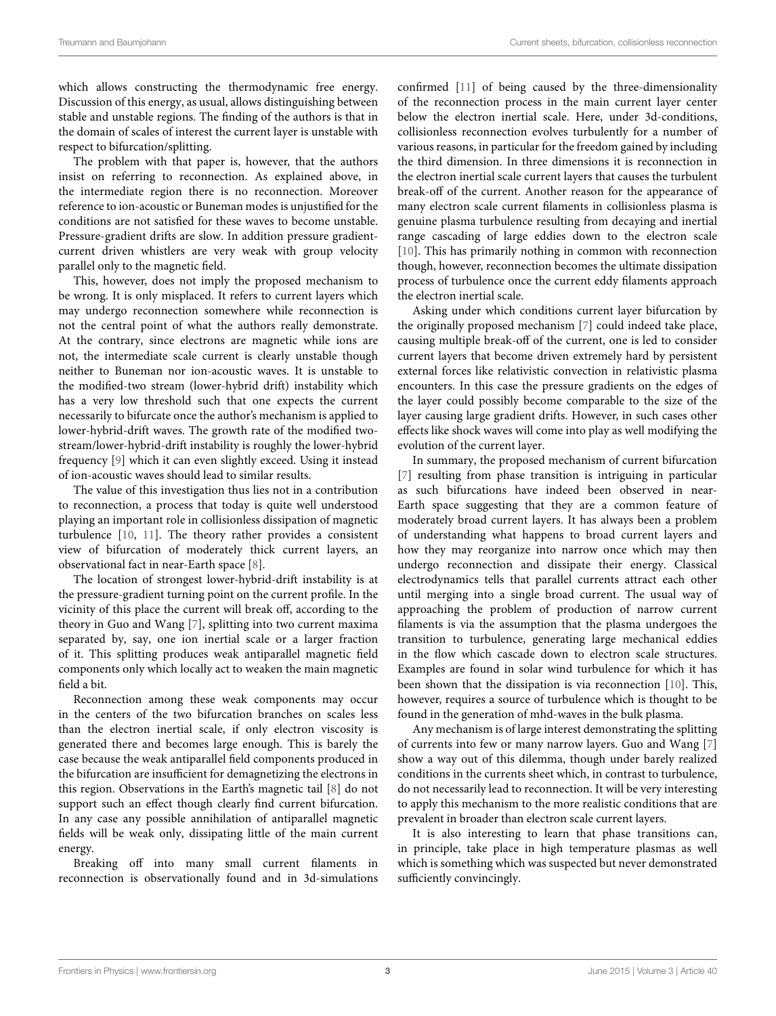which allows constructing the thermodynamic free energy. Discussion of this energy, as usual, allows distinguishing between stable and unstable regions. The finding of the authors is that in the domain of scales of interest the current layer is unstable with respect to bifurcation/splitting.

The problem with that paper is, however, that the authors insist on referring to reconnection. As explained above, in the intermediate region there is no reconnection. Moreover reference to ion-acoustic or Buneman modes is unjustified for the conditions are not satisfied for these waves to become unstable. Pressure-gradient drifts are slow. In addition pressure gradientcurrent driven whistlers are very weak with group velocity parallel only to the magnetic field.

This, however, does not imply the proposed mechanism to be wrong. It is only misplaced. It refers to current layers which may undergo reconnection somewhere while reconnection is not the central point of what the authors really demonstrate. At the contrary, since electrons are magnetic while ions are not, the intermediate scale current is clearly unstable though neither to Buneman nor ion-acoustic waves. It is unstable to the modified-two stream (lower-hybrid drift) instability which has a very low threshold such that one expects the current necessarily to bifurcate once the author's mechanism is applied to lower-hybrid-drift waves. The growth rate of the modified twostream/lower-hybrid-drift instability is roughly the lower-hybrid frequency [\[9\]](#page-3-8) which it can even slightly exceed. Using it instead of ion-acoustic waves should lead to similar results.

The value of this investigation thus lies not in a contribution to reconnection, a process that today is quite well understood playing an important role in collisionless dissipation of magnetic turbulence [\[10,](#page-3-9) [11\]](#page-3-10). The theory rather provides a consistent view of bifurcation of moderately thick current layers, an observational fact in near-Earth space [\[8\]](#page-3-7).

The location of strongest lower-hybrid-drift instability is at the pressure-gradient turning point on the current profile. In the vicinity of this place the current will break off, according to the theory in Guo and Wang [\[7\]](#page-3-6), splitting into two current maxima separated by, say, one ion inertial scale or a larger fraction of it. This splitting produces weak antiparallel magnetic field components only which locally act to weaken the main magnetic field a bit.

Reconnection among these weak components may occur in the centers of the two bifurcation branches on scales less than the electron inertial scale, if only electron viscosity is generated there and becomes large enough. This is barely the case because the weak antiparallel field components produced in the bifurcation are insufficient for demagnetizing the electrons in this region. Observations in the Earth's magnetic tail [\[8\]](#page-3-7) do not support such an effect though clearly find current bifurcation. In any case any possible annihilation of antiparallel magnetic fields will be weak only, dissipating little of the main current energy.

Breaking off into many small current filaments in reconnection is observationally found and in 3d-simulations confirmed [\[11\]](#page-3-10) of being caused by the three-dimensionality of the reconnection process in the main current layer center below the electron inertial scale. Here, under 3d-conditions, collisionless reconnection evolves turbulently for a number of various reasons, in particular for the freedom gained by including the third dimension. In three dimensions it is reconnection in the electron inertial scale current layers that causes the turbulent break-off of the current. Another reason for the appearance of many electron scale current filaments in collisionless plasma is genuine plasma turbulence resulting from decaying and inertial range cascading of large eddies down to the electron scale [\[10\]](#page-3-9). This has primarily nothing in common with reconnection though, however, reconnection becomes the ultimate dissipation process of turbulence once the current eddy filaments approach the electron inertial scale.

Asking under which conditions current layer bifurcation by the originally proposed mechanism [\[7\]](#page-3-6) could indeed take place, causing multiple break-off of the current, one is led to consider current layers that become driven extremely hard by persistent external forces like relativistic convection in relativistic plasma encounters. In this case the pressure gradients on the edges of the layer could possibly become comparable to the size of the layer causing large gradient drifts. However, in such cases other effects like shock waves will come into play as well modifying the evolution of the current layer.

In summary, the proposed mechanism of current bifurcation [\[7\]](#page-3-6) resulting from phase transition is intriguing in particular as such bifurcations have indeed been observed in near-Earth space suggesting that they are a common feature of moderately broad current layers. It has always been a problem of understanding what happens to broad current layers and how they may reorganize into narrow once which may then undergo reconnection and dissipate their energy. Classical electrodynamics tells that parallel currents attract each other until merging into a single broad current. The usual way of approaching the problem of production of narrow current filaments is via the assumption that the plasma undergoes the transition to turbulence, generating large mechanical eddies in the flow which cascade down to electron scale structures. Examples are found in solar wind turbulence for which it has been shown that the dissipation is via reconnection [\[10\]](#page-3-9). This, however, requires a source of turbulence which is thought to be found in the generation of mhd-waves in the bulk plasma.

Any mechanism is of large interest demonstrating the splitting of currents into few or many narrow layers. Guo and Wang [\[7\]](#page-3-6) show a way out of this dilemma, though under barely realized conditions in the currents sheet which, in contrast to turbulence, do not necessarily lead to reconnection. It will be very interesting to apply this mechanism to the more realistic conditions that are prevalent in broader than electron scale current layers.

It is also interesting to learn that phase transitions can, in principle, take place in high temperature plasmas as well which is something which was suspected but never demonstrated sufficiently convincingly.